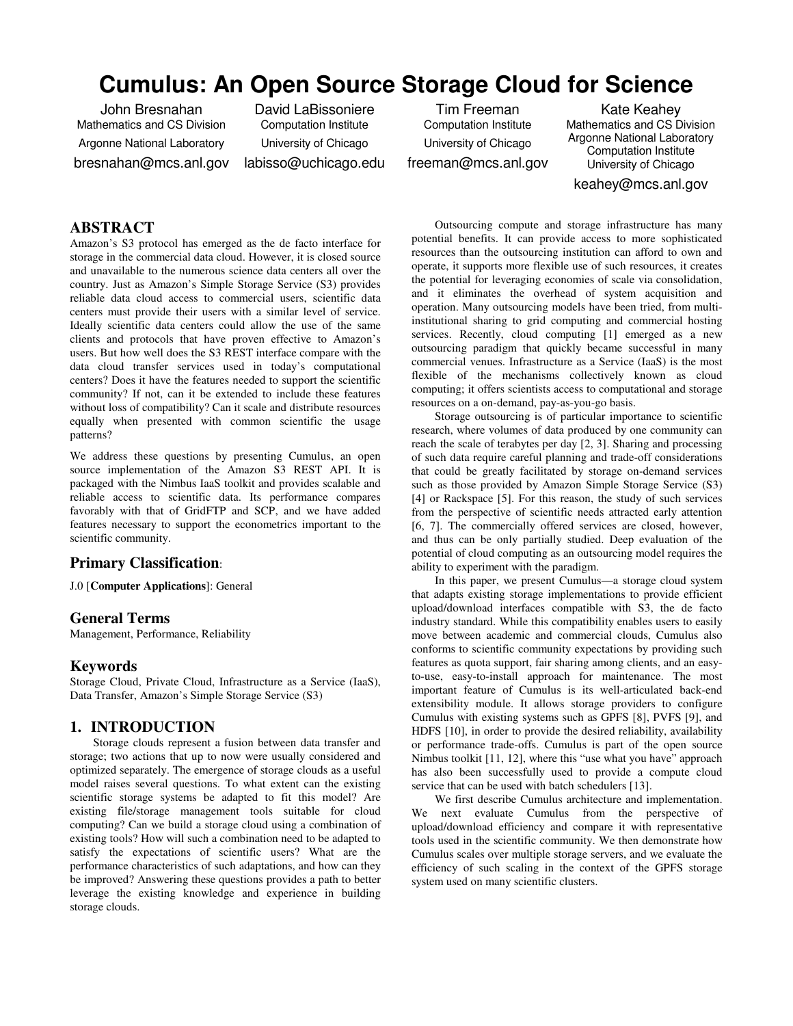# **Cumulus: An Open Source Storage Cloud for Science**

John Bresnahan Mathematics and CS Division Argonne National Laboratory bresnahan@mcs.anl.gov

David LaBissoniere Computation Institute University of Chicago labisso@uchicago.edu

Tim Freeman Computation Institute University of Chicago freeman@mcs.anl.gov

Kate Keahey Mathematics and CS Division Argonne National Laboratory Computation Institute University of Chicago

keahey@mcs.anl.gov

# **ABSTRACT**

Amazon's S3 protocol has emerged as the de facto interface for storage in the commercial data cloud. However, it is closed source and unavailable to the numerous science data centers all over the country. Just as Amazon's Simple Storage Service (S3) provides reliable data cloud access to commercial users, scientific data centers must provide their users with a similar level of service. Ideally scientific data centers could allow the use of the same clients and protocols that have proven effective to Amazon's users. But how well does the S3 REST interface compare with the data cloud transfer services used in today's computational centers? Does it have the features needed to support the scientific community? If not, can it be extended to include these features without loss of compatibility? Can it scale and distribute resources equally when presented with common scientific the usage patterns?

We address these questions by presenting Cumulus, an open source implementation of the Amazon S3 REST API. It is packaged with the Nimbus IaaS toolkit and provides scalable and reliable access to scientific data. Its performance compares favorably with that of GridFTP and SCP, and we have added features necessary to support the econometrics important to the scientific community.

# **Primary Classification**:

J.0 [**Computer Applications**]: General

## **General Terms**

Management, Performance, Reliability

## **Keywords**

Storage Cloud, Private Cloud, Infrastructure as a Service (IaaS), Data Transfer, Amazon's Simple Storage Service (S3)

## **1. INTRODUCTION**

Storage clouds represent a fusion between data transfer and storage; two actions that up to now were usually considered and optimized separately. The emergence of storage clouds as a useful model raises several questions. To what extent can the existing scientific storage systems be adapted to fit this model? Are existing file/storage management tools suitable for cloud computing? Can we build a storage cloud using a combination of existing tools? How will such a combination need to be adapted to satisfy the expectations of scientific users? What are the performance characteristics of such adaptations, and how can they be improved? Answering these questions provides a path to better leverage the existing knowledge and experience in building storage clouds.

Outsourcing compute and storage infrastructure has many potential benefits. It can provide access to more sophisticated resources than the outsourcing institution can afford to own and operate, it supports more flexible use of such resources, it creates the potential for leveraging economies of scale via consolidation, and it eliminates the overhead of system acquisition and operation. Many outsourcing models have been tried, from multiinstitutional sharing to grid computing and commercial hosting services. Recently, cloud computing [1] emerged as a new outsourcing paradigm that quickly became successful in many commercial venues. Infrastructure as a Service (IaaS) is the most flexible of the mechanisms collectively known as cloud computing; it offers scientists access to computational and storage resources on a on-demand, pay-as-you-go basis.

Storage outsourcing is of particular importance to scientific research, where volumes of data produced by one community can reach the scale of terabytes per day [2, 3]. Sharing and processing of such data require careful planning and trade-off considerations that could be greatly facilitated by storage on-demand services such as those provided by Amazon Simple Storage Service (S3) [4] or Rackspace [5]. For this reason, the study of such services from the perspective of scientific needs attracted early attention [6, 7]. The commercially offered services are closed, however, and thus can be only partially studied. Deep evaluation of the potential of cloud computing as an outsourcing model requires the ability to experiment with the paradigm.

In this paper, we present Cumulus—a storage cloud system that adapts existing storage implementations to provide efficient upload/download interfaces compatible with S3, the de facto industry standard. While this compatibility enables users to easily move between academic and commercial clouds, Cumulus also conforms to scientific community expectations by providing such features as quota support, fair sharing among clients, and an easyto-use, easy-to-install approach for maintenance. The most important feature of Cumulus is its well-articulated back-end extensibility module. It allows storage providers to configure Cumulus with existing systems such as GPFS [8], PVFS [9], and HDFS [10], in order to provide the desired reliability, availability or performance trade-offs. Cumulus is part of the open source Nimbus toolkit [11, 12], where this "use what you have" approach has also been successfully used to provide a compute cloud service that can be used with batch schedulers [13].

We first describe Cumulus architecture and implementation. We next evaluate Cumulus from the perspective of upload/download efficiency and compare it with representative tools used in the scientific community. We then demonstrate how Cumulus scales over multiple storage servers, and we evaluate the efficiency of such scaling in the context of the GPFS storage system used on many scientific clusters.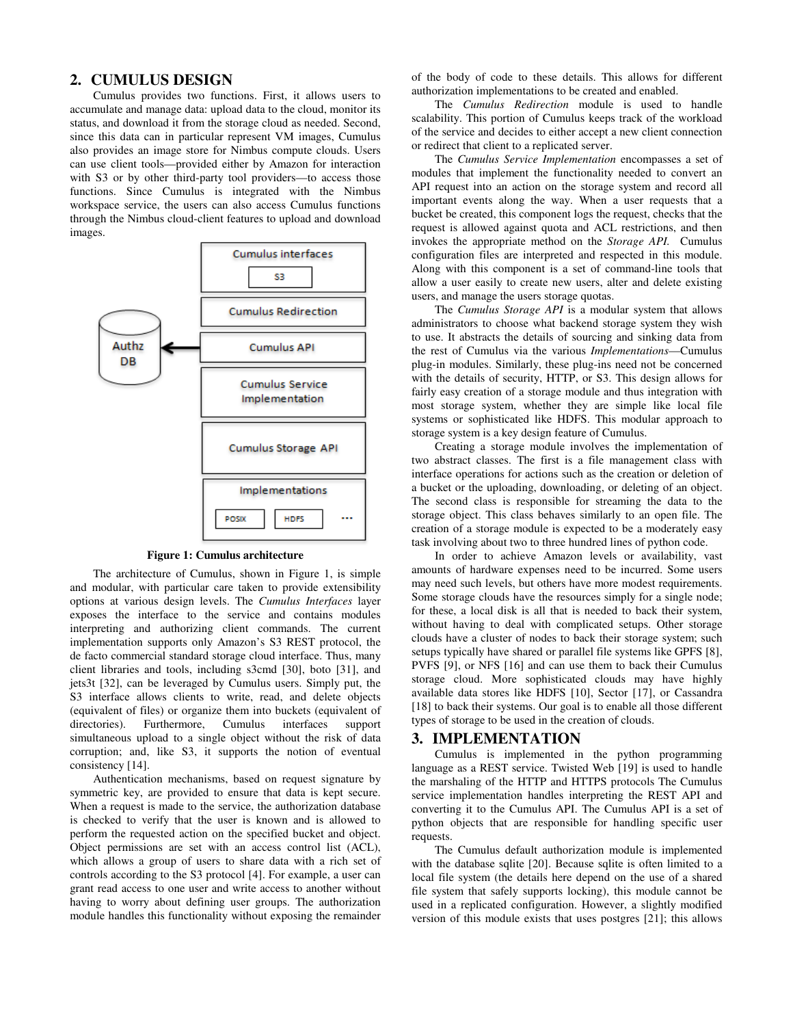## **2. CUMULUS DESIGN**

Cumulus provides two functions. First, it allows users to accumulate and manage data: upload data to the cloud, monitor its status, and download it from the storage cloud as needed. Second, since this data can in particular represent VM images, Cumulus also provides an image store for Nimbus compute clouds. Users can use client tools—provided either by Amazon for interaction with S3 or by other third-party tool providers—to access those functions. Since Cumulus is integrated with the Nimbus workspace service, the users can also access Cumulus functions through the Nimbus cloud-client features to upload and download images.



**Figure 1: Cumulus architecture** 

The architecture of Cumulus, shown in Figure 1, is simple and modular, with particular care taken to provide extensibility options at various design levels. The *Cumulus Interfaces* layer exposes the interface to the service and contains modules interpreting and authorizing client commands. The current implementation supports only Amazon's S3 REST protocol, the de facto commercial standard storage cloud interface. Thus, many client libraries and tools, including s3cmd [30], boto [31], and jets3t [32], can be leveraged by Cumulus users. Simply put, the S3 interface allows clients to write, read, and delete objects (equivalent of files) or organize them into buckets (equivalent of directories). Furthermore, Cumulus interfaces support simultaneous upload to a single object without the risk of data corruption; and, like S3, it supports the notion of eventual consistency [14].

Authentication mechanisms, based on request signature by symmetric key, are provided to ensure that data is kept secure. When a request is made to the service, the authorization database is checked to verify that the user is known and is allowed to perform the requested action on the specified bucket and object. Object permissions are set with an access control list (ACL), which allows a group of users to share data with a rich set of controls according to the S3 protocol [4]. For example, a user can grant read access to one user and write access to another without having to worry about defining user groups. The authorization module handles this functionality without exposing the remainder of the body of code to these details. This allows for different authorization implementations to be created and enabled.

The *Cumulus Redirection* module is used to handle scalability. This portion of Cumulus keeps track of the workload of the service and decides to either accept a new client connection or redirect that client to a replicated server.

The *Cumulus Service Implementation* encompasses a set of modules that implement the functionality needed to convert an API request into an action on the storage system and record all important events along the way. When a user requests that a bucket be created, this component logs the request, checks that the request is allowed against quota and ACL restrictions, and then invokes the appropriate method on the *Storage API.* Cumulus configuration files are interpreted and respected in this module. Along with this component is a set of command-line tools that allow a user easily to create new users, alter and delete existing users, and manage the users storage quotas.

The *Cumulus Storage API* is a modular system that allows administrators to choose what backend storage system they wish to use. It abstracts the details of sourcing and sinking data from the rest of Cumulus via the various *Implementations*—Cumulus plug-in modules. Similarly, these plug-ins need not be concerned with the details of security, HTTP, or S3. This design allows for fairly easy creation of a storage module and thus integration with most storage system, whether they are simple like local file systems or sophisticated like HDFS. This modular approach to storage system is a key design feature of Cumulus.

Creating a storage module involves the implementation of two abstract classes. The first is a file management class with interface operations for actions such as the creation or deletion of a bucket or the uploading, downloading, or deleting of an object. The second class is responsible for streaming the data to the storage object. This class behaves similarly to an open file. The creation of a storage module is expected to be a moderately easy task involving about two to three hundred lines of python code.

In order to achieve Amazon levels or availability, vast amounts of hardware expenses need to be incurred. Some users may need such levels, but others have more modest requirements. Some storage clouds have the resources simply for a single node; for these, a local disk is all that is needed to back their system, without having to deal with complicated setups. Other storage clouds have a cluster of nodes to back their storage system; such setups typically have shared or parallel file systems like GPFS [8], PVFS [9], or NFS [16] and can use them to back their Cumulus storage cloud. More sophisticated clouds may have highly available data stores like HDFS [10], Sector [17], or Cassandra [18] to back their systems. Our goal is to enable all those different types of storage to be used in the creation of clouds.

## **3. IMPLEMENTATION**

Cumulus is implemented in the python programming language as a REST service. Twisted Web [19] is used to handle the marshaling of the HTTP and HTTPS protocols The Cumulus service implementation handles interpreting the REST API and converting it to the Cumulus API. The Cumulus API is a set of python objects that are responsible for handling specific user requests.

The Cumulus default authorization module is implemented with the database sqlite [20]. Because sqlite is often limited to a local file system (the details here depend on the use of a shared file system that safely supports locking), this module cannot be used in a replicated configuration. However, a slightly modified version of this module exists that uses postgres [21]; this allows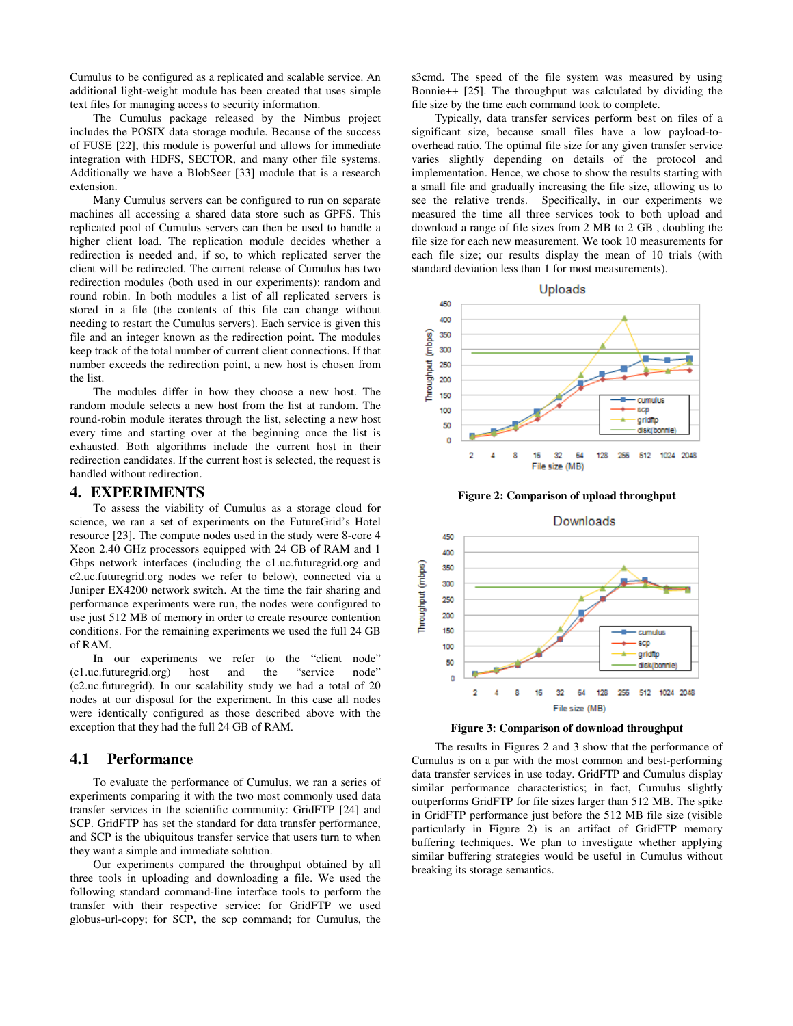Cumulus to be configured as a replicated and scalable service. An additional light-weight module has been created that uses simple text files for managing access to security information.

The Cumulus package released by the Nimbus project includes the POSIX data storage module. Because of the success of FUSE [22], this module is powerful and allows for immediate integration with HDFS, SECTOR, and many other file systems. Additionally we have a BlobSeer [33] module that is a research extension.

Many Cumulus servers can be configured to run on separate machines all accessing a shared data store such as GPFS. This replicated pool of Cumulus servers can then be used to handle a higher client load. The replication module decides whether a redirection is needed and, if so, to which replicated server the client will be redirected. The current release of Cumulus has two redirection modules (both used in our experiments): random and round robin. In both modules a list of all replicated servers is stored in a file (the contents of this file can change without needing to restart the Cumulus servers). Each service is given this file and an integer known as the redirection point. The modules keep track of the total number of current client connections. If that number exceeds the redirection point, a new host is chosen from the list.

The modules differ in how they choose a new host. The random module selects a new host from the list at random. The round-robin module iterates through the list, selecting a new host every time and starting over at the beginning once the list is exhausted. Both algorithms include the current host in their redirection candidates. If the current host is selected, the request is handled without redirection.

## **4. EXPERIMENTS**

To assess the viability of Cumulus as a storage cloud for science, we ran a set of experiments on the FutureGrid's Hotel resource [23]. The compute nodes used in the study were 8-core 4 Xeon 2.40 GHz processors equipped with 24 GB of RAM and 1 Gbps network interfaces (including the c1.uc.futuregrid.org and c2.uc.futuregrid.org nodes we refer to below), connected via a Juniper EX4200 network switch. At the time the fair sharing and performance experiments were run, the nodes were configured to use just 512 MB of memory in order to create resource contention conditions. For the remaining experiments we used the full 24 GB of RAM.

In our experiments we refer to the "client node" (c1.uc.futuregrid.org) host and the "service node" (c2.uc.futuregrid). In our scalability study we had a total of 20 nodes at our disposal for the experiment. In this case all nodes were identically configured as those described above with the exception that they had the full 24 GB of RAM.

## **4.1 Performance**

To evaluate the performance of Cumulus, we ran a series of experiments comparing it with the two most commonly used data transfer services in the scientific community: GridFTP [24] and SCP. GridFTP has set the standard for data transfer performance, and SCP is the ubiquitous transfer service that users turn to when they want a simple and immediate solution.

Our experiments compared the throughput obtained by all three tools in uploading and downloading a file. We used the following standard command-line interface tools to perform the transfer with their respective service: for GridFTP we used globus-url-copy; for SCP, the scp command; for Cumulus, the

s3cmd. The speed of the file system was measured by using Bonnie++ [25]. The throughput was calculated by dividing the file size by the time each command took to complete.

Typically, data transfer services perform best on files of a significant size, because small files have a low payload-tooverhead ratio. The optimal file size for any given transfer service varies slightly depending on details of the protocol and implementation. Hence, we chose to show the results starting with a small file and gradually increasing the file size, allowing us to see the relative trends. Specifically, in our experiments we measured the time all three services took to both upload and download a range of file sizes from 2 MB to 2 GB , doubling the file size for each new measurement. We took 10 measurements for each file size; our results display the mean of 10 trials (with standard deviation less than 1 for most measurements).









The results in Figures 2 and 3 show that the performance of Cumulus is on a par with the most common and best-performing data transfer services in use today. GridFTP and Cumulus display similar performance characteristics; in fact, Cumulus slightly outperforms GridFTP for file sizes larger than 512 MB. The spike in GridFTP performance just before the 512 MB file size (visible particularly in Figure 2) is an artifact of GridFTP memory buffering techniques. We plan to investigate whether applying similar buffering strategies would be useful in Cumulus without breaking its storage semantics.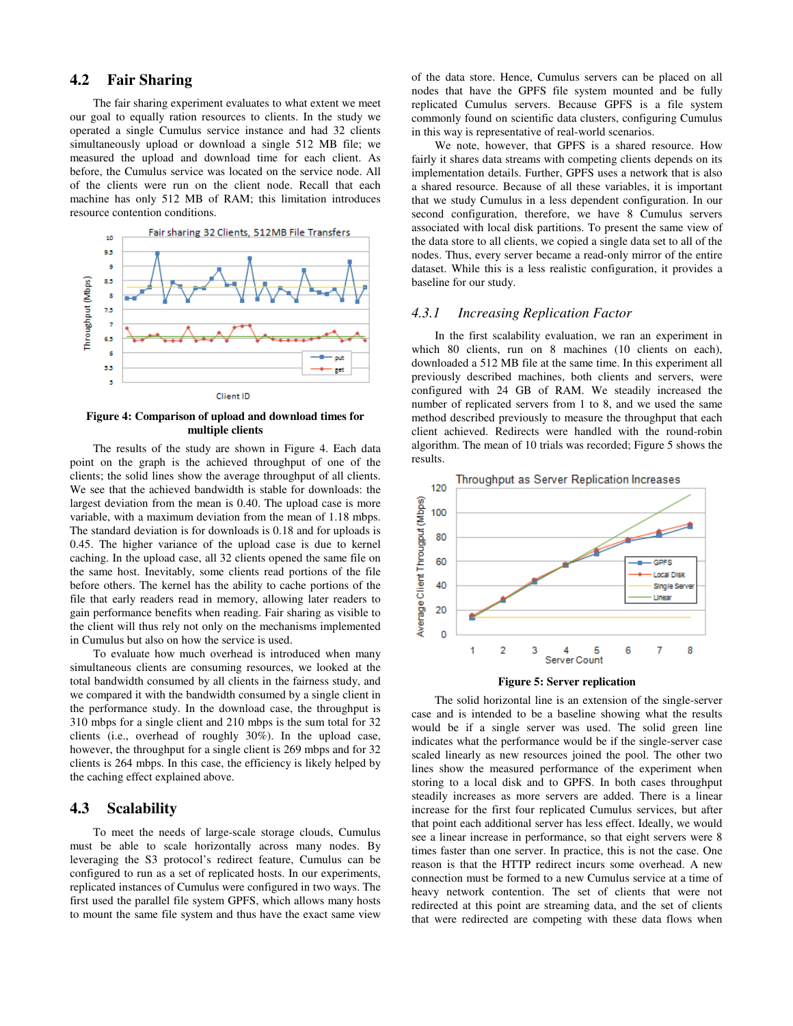## **4.2 Fair Sharing**

The fair sharing experiment evaluates to what extent we meet our goal to equally ration resources to clients. In the study we operated a single Cumulus service instance and had 32 clients simultaneously upload or download a single 512 MB file; we measured the upload and download time for each client. As before, the Cumulus service was located on the service node. All of the clients were run on the client node. Recall that each machine has only 512 MB of RAM; this limitation introduces resource contention conditions.



**Figure 4: Comparison of upload and download times for multiple clients** 

The results of the study are shown in Figure 4. Each data point on the graph is the achieved throughput of one of the clients; the solid lines show the average throughput of all clients. We see that the achieved bandwidth is stable for downloads: the largest deviation from the mean is 0.40. The upload case is more variable, with a maximum deviation from the mean of 1.18 mbps. The standard deviation is for downloads is 0.18 and for uploads is 0.45. The higher variance of the upload case is due to kernel caching. In the upload case, all 32 clients opened the same file on the same host. Inevitably, some clients read portions of the file before others. The kernel has the ability to cache portions of the file that early readers read in memory, allowing later readers to gain performance benefits when reading. Fair sharing as visible to the client will thus rely not only on the mechanisms implemented in Cumulus but also on how the service is used.

To evaluate how much overhead is introduced when many simultaneous clients are consuming resources, we looked at the total bandwidth consumed by all clients in the fairness study, and we compared it with the bandwidth consumed by a single client in the performance study. In the download case, the throughput is 310 mbps for a single client and 210 mbps is the sum total for 32 clients (i.e., overhead of roughly 30%). In the upload case, however, the throughput for a single client is 269 mbps and for 32 clients is 264 mbps. In this case, the efficiency is likely helped by the caching effect explained above.

## **4.3 Scalability**

To meet the needs of large-scale storage clouds, Cumulus must be able to scale horizontally across many nodes. By leveraging the S3 protocol's redirect feature, Cumulus can be configured to run as a set of replicated hosts. In our experiments, replicated instances of Cumulus were configured in two ways. The first used the parallel file system GPFS, which allows many hosts to mount the same file system and thus have the exact same view

of the data store. Hence, Cumulus servers can be placed on all nodes that have the GPFS file system mounted and be fully replicated Cumulus servers. Because GPFS is a file system commonly found on scientific data clusters, configuring Cumulus in this way is representative of real-world scenarios.

We note, however, that GPFS is a shared resource. How fairly it shares data streams with competing clients depends on its implementation details. Further, GPFS uses a network that is also a shared resource. Because of all these variables, it is important that we study Cumulus in a less dependent configuration. In our second configuration, therefore, we have 8 Cumulus servers associated with local disk partitions. To present the same view of the data store to all clients, we copied a single data set to all of the nodes. Thus, every server became a read-only mirror of the entire dataset. While this is a less realistic configuration, it provides a baseline for our study.

#### *4.3.1 Increasing Replication Factor*

In the first scalability evaluation, we ran an experiment in which 80 clients, run on 8 machines (10 clients on each), downloaded a 512 MB file at the same time. In this experiment all previously described machines, both clients and servers, were configured with 24 GB of RAM. We steadily increased the number of replicated servers from 1 to 8, and we used the same method described previously to measure the throughput that each client achieved. Redirects were handled with the round-robin algorithm. The mean of 10 trials was recorded; Figure 5 shows the results.



#### **Figure 5: Server replication**

The solid horizontal line is an extension of the single-server case and is intended to be a baseline showing what the results would be if a single server was used. The solid green line indicates what the performance would be if the single-server case scaled linearly as new resources joined the pool. The other two lines show the measured performance of the experiment when storing to a local disk and to GPFS. In both cases throughput steadily increases as more servers are added. There is a linear increase for the first four replicated Cumulus services, but after that point each additional server has less effect. Ideally, we would see a linear increase in performance, so that eight servers were 8 times faster than one server. In practice, this is not the case. One reason is that the HTTP redirect incurs some overhead. A new connection must be formed to a new Cumulus service at a time of heavy network contention. The set of clients that were not redirected at this point are streaming data, and the set of clients that were redirected are competing with these data flows when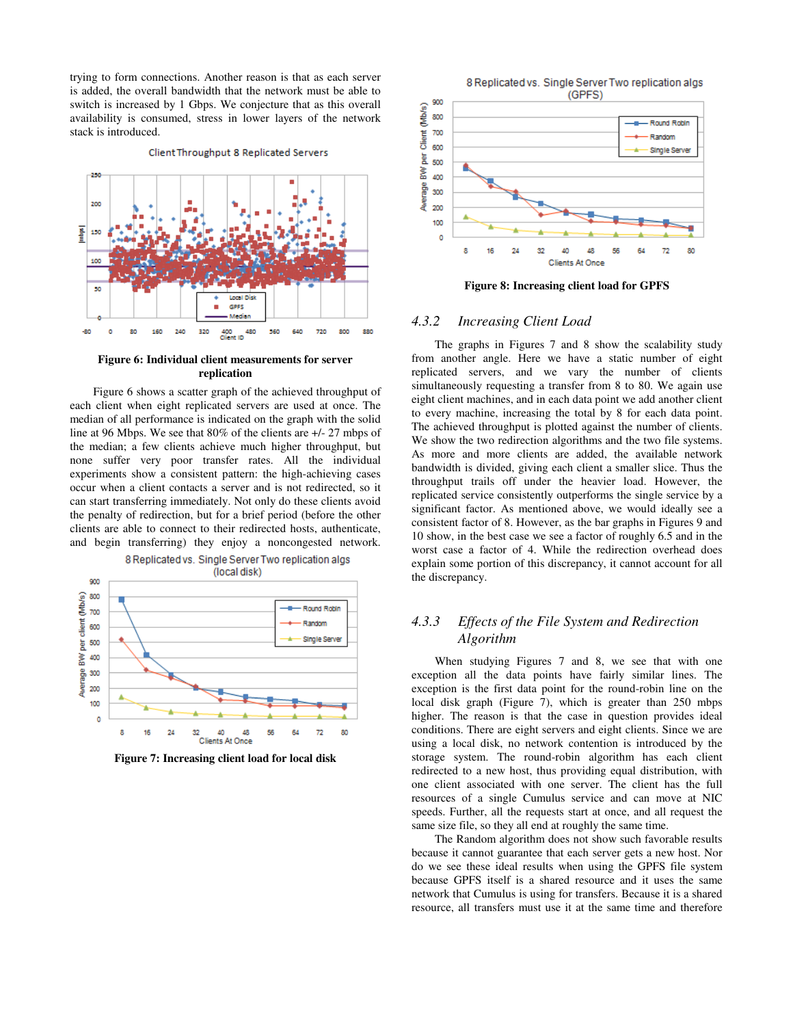trying to form connections. Another reason is that as each server is added, the overall bandwidth that the network must be able to switch is increased by 1 Gbps. We conjecture that as this overall availability is consumed, stress in lower layers of the network stack is introduced.

Client Throughput 8 Replicated Servers



#### **Figure 6: Individual client measurements for server replication**

Figure 6 shows a scatter graph of the achieved throughput of each client when eight replicated servers are used at once. The median of all performance is indicated on the graph with the solid line at 96 Mbps. We see that 80% of the clients are +/- 27 mbps of the median; a few clients achieve much higher throughput, but none suffer very poor transfer rates. All the individual experiments show a consistent pattern: the high-achieving cases occur when a client contacts a server and is not redirected, so it can start transferring immediately. Not only do these clients avoid the penalty of redirection, but for a brief period (before the other clients are able to connect to their redirected hosts, authenticate, and begin transferring) they enjoy a noncongested network.



**Figure 7: Increasing client load for local disk** 



**Figure 8: Increasing client load for GPFS** 

## *4.3.2 Increasing Client Load*

The graphs in Figures 7 and 8 show the scalability study from another angle. Here we have a static number of eight replicated servers, and we vary the number of clients simultaneously requesting a transfer from 8 to 80. We again use eight client machines, and in each data point we add another client to every machine, increasing the total by 8 for each data point. The achieved throughput is plotted against the number of clients. We show the two redirection algorithms and the two file systems. As more and more clients are added, the available network bandwidth is divided, giving each client a smaller slice. Thus the throughput trails off under the heavier load. However, the replicated service consistently outperforms the single service by a significant factor. As mentioned above, we would ideally see a consistent factor of 8. However, as the bar graphs in Figures 9 and 10 show, in the best case we see a factor of roughly 6.5 and in the worst case a factor of 4. While the redirection overhead does explain some portion of this discrepancy, it cannot account for all the discrepancy.

# *4.3.3 Effects of the File System and Redirection Algorithm*

When studying Figures 7 and 8, we see that with one exception all the data points have fairly similar lines. The exception is the first data point for the round-robin line on the local disk graph (Figure 7), which is greater than 250 mbps higher. The reason is that the case in question provides ideal conditions. There are eight servers and eight clients. Since we are using a local disk, no network contention is introduced by the storage system. The round-robin algorithm has each client redirected to a new host, thus providing equal distribution, with one client associated with one server. The client has the full resources of a single Cumulus service and can move at NIC speeds. Further, all the requests start at once, and all request the same size file, so they all end at roughly the same time.

The Random algorithm does not show such favorable results because it cannot guarantee that each server gets a new host. Nor do we see these ideal results when using the GPFS file system because GPFS itself is a shared resource and it uses the same network that Cumulus is using for transfers. Because it is a shared resource, all transfers must use it at the same time and therefore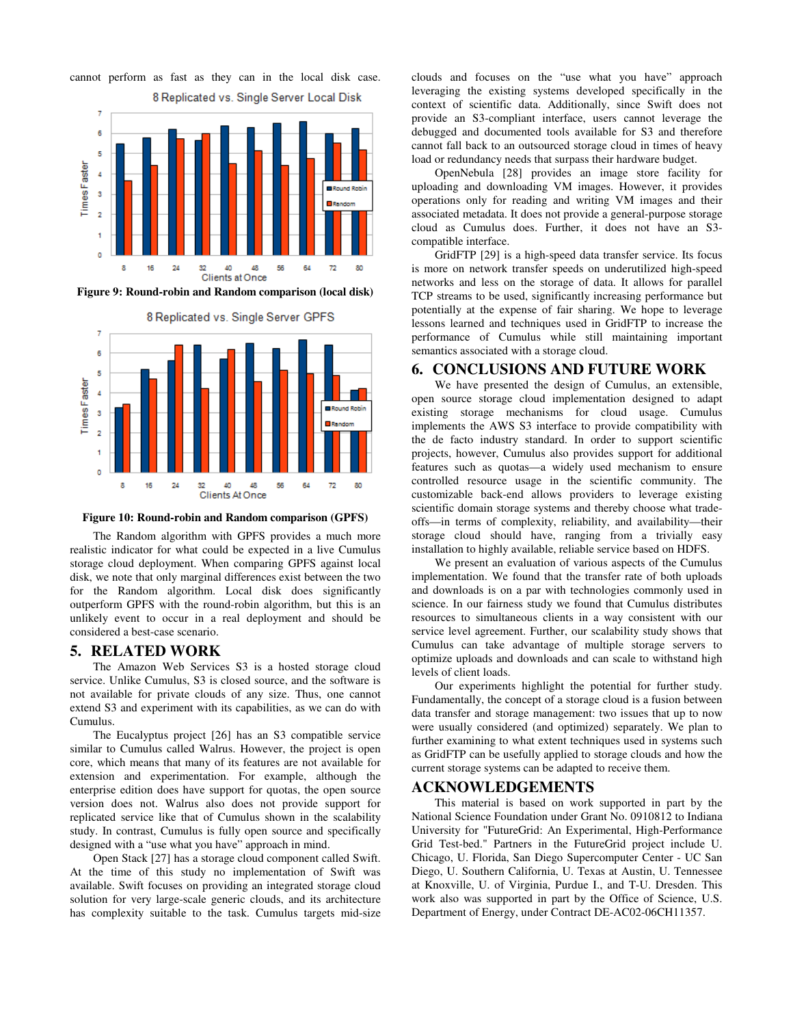

**Figure 9: Round-robin and Random comparison (local disk)** 



**Figure 10: Round-robin and Random comparison (GPFS)**

The Random algorithm with GPFS provides a much more realistic indicator for what could be expected in a live Cumulus storage cloud deployment. When comparing GPFS against local disk, we note that only marginal differences exist between the two for the Random algorithm. Local disk does significantly outperform GPFS with the round-robin algorithm, but this is an unlikely event to occur in a real deployment and should be considered a best-case scenario.

## **5. RELATED WORK**

The Amazon Web Services S3 is a hosted storage cloud service. Unlike Cumulus, S3 is closed source, and the software is not available for private clouds of any size. Thus, one cannot extend S3 and experiment with its capabilities, as we can do with Cumulus.

The Eucalyptus project [26] has an S3 compatible service similar to Cumulus called Walrus. However, the project is open core, which means that many of its features are not available for extension and experimentation. For example, although the enterprise edition does have support for quotas, the open source version does not. Walrus also does not provide support for replicated service like that of Cumulus shown in the scalability study. In contrast, Cumulus is fully open source and specifically designed with a "use what you have" approach in mind.

Open Stack [27] has a storage cloud component called Swift. At the time of this study no implementation of Swift was available. Swift focuses on providing an integrated storage cloud solution for very large-scale generic clouds, and its architecture has complexity suitable to the task. Cumulus targets mid-size

clouds and focuses on the "use what you have" approach leveraging the existing systems developed specifically in the context of scientific data. Additionally, since Swift does not provide an S3-compliant interface, users cannot leverage the debugged and documented tools available for S3 and therefore cannot fall back to an outsourced storage cloud in times of heavy load or redundancy needs that surpass their hardware budget.

OpenNebula [28] provides an image store facility for uploading and downloading VM images. However, it provides operations only for reading and writing VM images and their associated metadata. It does not provide a general-purpose storage cloud as Cumulus does. Further, it does not have an S3 compatible interface.

GridFTP [29] is a high-speed data transfer service. Its focus is more on network transfer speeds on underutilized high-speed networks and less on the storage of data. It allows for parallel TCP streams to be used, significantly increasing performance but potentially at the expense of fair sharing. We hope to leverage lessons learned and techniques used in GridFTP to increase the performance of Cumulus while still maintaining important semantics associated with a storage cloud.

#### **6. CONCLUSIONS AND FUTURE WORK**

We have presented the design of Cumulus, an extensible, open source storage cloud implementation designed to adapt existing storage mechanisms for cloud usage. Cumulus implements the AWS S3 interface to provide compatibility with the de facto industry standard. In order to support scientific projects, however, Cumulus also provides support for additional features such as quotas—a widely used mechanism to ensure controlled resource usage in the scientific community. The customizable back-end allows providers to leverage existing scientific domain storage systems and thereby choose what tradeoffs—in terms of complexity, reliability, and availability—their storage cloud should have, ranging from a trivially easy installation to highly available, reliable service based on HDFS.

We present an evaluation of various aspects of the Cumulus implementation. We found that the transfer rate of both uploads and downloads is on a par with technologies commonly used in science. In our fairness study we found that Cumulus distributes resources to simultaneous clients in a way consistent with our service level agreement. Further, our scalability study shows that Cumulus can take advantage of multiple storage servers to optimize uploads and downloads and can scale to withstand high levels of client loads.

Our experiments highlight the potential for further study. Fundamentally, the concept of a storage cloud is a fusion between data transfer and storage management: two issues that up to now were usually considered (and optimized) separately. We plan to further examining to what extent techniques used in systems such as GridFTP can be usefully applied to storage clouds and how the current storage systems can be adapted to receive them.

#### **ACKNOWLEDGEMENTS**

This material is based on work supported in part by the National Science Foundation under Grant No. 0910812 to Indiana University for "FutureGrid: An Experimental, High-Performance Grid Test-bed." Partners in the FutureGrid project include U. Chicago, U. Florida, San Diego Supercomputer Center - UC San Diego, U. Southern California, U. Texas at Austin, U. Tennessee at Knoxville, U. of Virginia, Purdue I., and T-U. Dresden. This work also was supported in part by the Office of Science, U.S. Department of Energy, under Contract DE-AC02-06CH11357.

cannot perform as fast as they can in the local disk case.